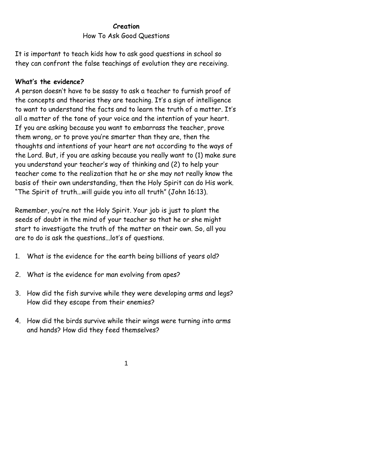## **Creation** How To Ask Good Questions

It is important to teach kids how to ask good questions in school so they can confront the false teachings of evolution they are receiving.

## **What's the evidence?**

A person doesn't have to be sassy to ask a teacher to furnish proof of the concepts and theories they are teaching. It's a sign of intelligence to want to understand the facts and to learn the truth of a matter. It's all a matter of the tone of your voice and the intention of your heart. If you are asking because you want to embarrass the teacher, prove them wrong, or to prove you're smarter than they are, then the thoughts and intentions of your heart are not according to the ways of the Lord. But, if you are asking because you really want to (1) make sure you understand your teacher's way of thinking and (2) to help your teacher come to the realization that he or she may not really know the basis of their own understanding, then the Holy Spirit can do His work. "The Spirit of truth...will guide you into all truth" (John 16:13).

Remember, you're not the Holy Spirit. Your job is just to plant the seeds of doubt in the mind of your teacher so that he or she might start to investigate the truth of the matter on their own. So, all you are to do is ask the questions...lot's of questions.

- 1. What is the evidence for the earth being billions of years old?
- 2. What is the evidence for man evolving from apes?
- 3. How did the fish survive while they were developing arms and legs? How did they escape from their enemies?
- 4. How did the birds survive while their wings were turning into arms and hands? How did they feed themselves?

1